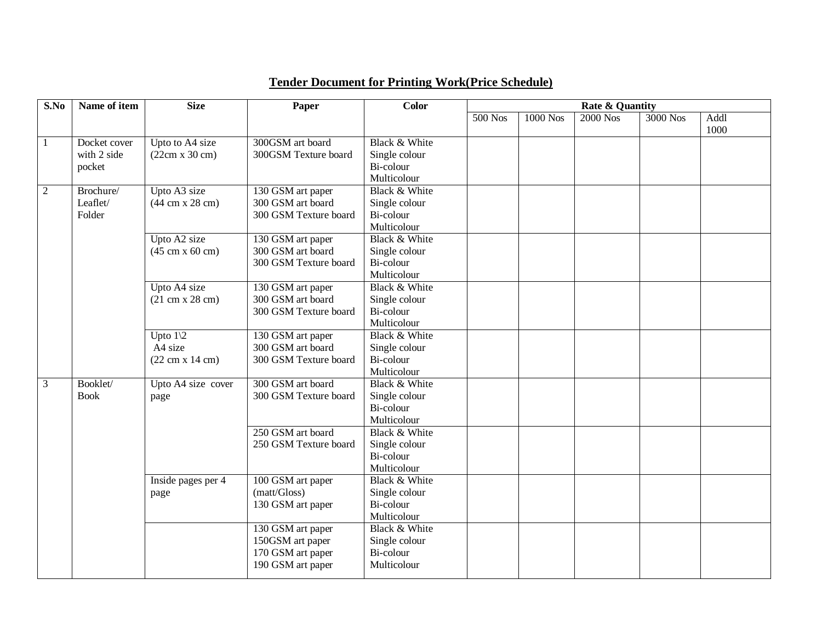| S.No | Name of item | <b>Size</b>                            | Paper                 | Color         | Rate & Quantity |                 |            |          |      |
|------|--------------|----------------------------------------|-----------------------|---------------|-----------------|-----------------|------------|----------|------|
|      |              |                                        |                       |               | $500$ Nos       | <b>1000 Nos</b> | $2000$ Nos | 3000 Nos | Addl |
|      |              |                                        |                       |               |                 |                 |            |          | 1000 |
| 1    | Docket cover | Upto to A4 size                        | 300GSM art board      | Black & White |                 |                 |            |          |      |
|      | with 2 side  | (22cm x 30 cm)                         | 300GSM Texture board  | Single colour |                 |                 |            |          |      |
|      | pocket       |                                        |                       | Bi-colour     |                 |                 |            |          |      |
|      |              |                                        |                       | Multicolour   |                 |                 |            |          |      |
| 2    | Brochure/    | Upto A3 size                           | 130 GSM art paper     | Black & White |                 |                 |            |          |      |
|      | Leaflet/     | $(44 \text{ cm} \times 28 \text{ cm})$ | 300 GSM art board     | Single colour |                 |                 |            |          |      |
|      | Folder       |                                        | 300 GSM Texture board | Bi-colour     |                 |                 |            |          |      |
|      |              |                                        |                       | Multicolour   |                 |                 |            |          |      |
|      |              | Upto A2 size                           | 130 GSM art paper     | Black & White |                 |                 |            |          |      |
|      |              | $(45 \text{ cm} \times 60 \text{ cm})$ | 300 GSM art board     | Single colour |                 |                 |            |          |      |
|      |              |                                        | 300 GSM Texture board | Bi-colour     |                 |                 |            |          |      |
|      |              |                                        |                       | Multicolour   |                 |                 |            |          |      |
|      |              | Upto A4 size                           | 130 GSM art paper     | Black & White |                 |                 |            |          |      |
|      |              | $(21 \text{ cm} \times 28 \text{ cm})$ | 300 GSM art board     | Single colour |                 |                 |            |          |      |
|      |              |                                        | 300 GSM Texture board | Bi-colour     |                 |                 |            |          |      |
|      |              |                                        |                       | Multicolour   |                 |                 |            |          |      |
|      |              | Upto $1\backslash 2$                   | 130 GSM art paper     | Black & White |                 |                 |            |          |      |
|      |              | A4 size                                | 300 GSM art board     | Single colour |                 |                 |            |          |      |
|      |              | $(22 \text{ cm x } 14 \text{ cm})$     | 300 GSM Texture board | Bi-colour     |                 |                 |            |          |      |
|      |              |                                        |                       | Multicolour   |                 |                 |            |          |      |
| 3    | Booklet/     | Upto A4 size cover                     | 300 GSM art board     | Black & White |                 |                 |            |          |      |
|      | <b>Book</b>  | page                                   | 300 GSM Texture board | Single colour |                 |                 |            |          |      |
|      |              |                                        |                       | Bi-colour     |                 |                 |            |          |      |
|      |              |                                        |                       | Multicolour   |                 |                 |            |          |      |
|      |              |                                        | 250 GSM art board     | Black & White |                 |                 |            |          |      |
|      |              |                                        | 250 GSM Texture board | Single colour |                 |                 |            |          |      |
|      |              |                                        |                       | Bi-colour     |                 |                 |            |          |      |
|      |              |                                        |                       | Multicolour   |                 |                 |            |          |      |
|      |              | Inside pages per 4                     | 100 GSM art paper     | Black & White |                 |                 |            |          |      |
|      |              | page                                   | (matt/Gloss)          | Single colour |                 |                 |            |          |      |
|      |              |                                        | 130 GSM art paper     | Bi-colour     |                 |                 |            |          |      |
|      |              |                                        |                       | Multicolour   |                 |                 |            |          |      |
|      |              |                                        | 130 GSM art paper     | Black & White |                 |                 |            |          |      |
|      |              |                                        | 150GSM art paper      | Single colour |                 |                 |            |          |      |
|      |              |                                        | 170 GSM art paper     | Bi-colour     |                 |                 |            |          |      |
|      |              |                                        | 190 GSM art paper     | Multicolour   |                 |                 |            |          |      |

## **Tender Document for Printing Work(Price Schedule)**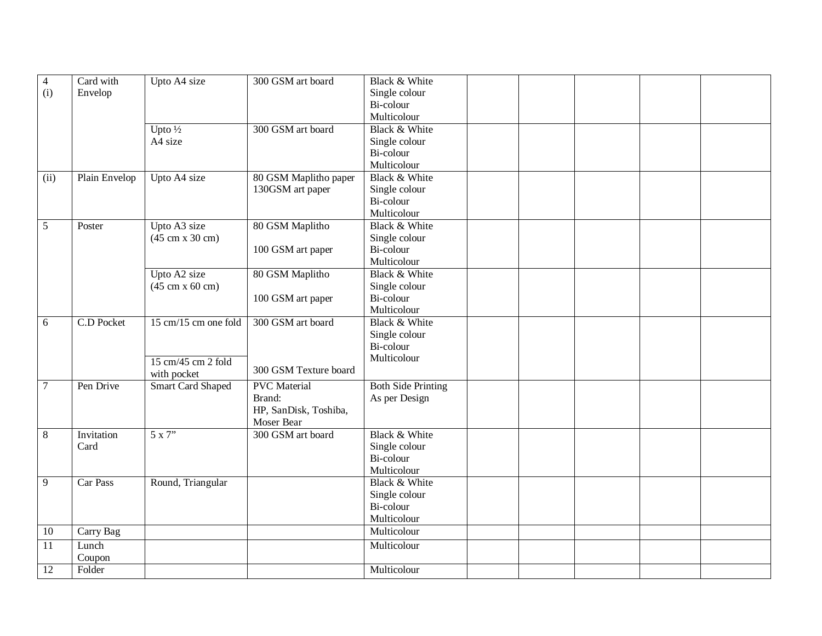| $\overline{4}$ | Card with     | Upto A4 size                           | 300 GSM art board     | Black & White             |  |  |  |
|----------------|---------------|----------------------------------------|-----------------------|---------------------------|--|--|--|
| (i)            | Envelop       |                                        |                       | Single colour             |  |  |  |
|                |               |                                        |                       | Bi-colour                 |  |  |  |
|                |               |                                        |                       | Multicolour               |  |  |  |
|                |               | Upto $\frac{1}{2}$                     | 300 GSM art board     | Black & White             |  |  |  |
|                |               | A4 size                                |                       | Single colour             |  |  |  |
|                |               |                                        |                       | Bi-colour                 |  |  |  |
|                |               |                                        |                       | Multicolour               |  |  |  |
| (ii)           | Plain Envelop | Upto A4 size                           | 80 GSM Maplitho paper | Black & White             |  |  |  |
|                |               |                                        | 130GSM art paper      | Single colour             |  |  |  |
|                |               |                                        |                       | Bi-colour                 |  |  |  |
|                |               |                                        |                       | Multicolour               |  |  |  |
| $\mathfrak{S}$ | Poster        | Upto A3 size                           | 80 GSM Maplitho       | Black & White             |  |  |  |
|                |               | $(45 \text{ cm} \times 30 \text{ cm})$ |                       | Single colour             |  |  |  |
|                |               |                                        | 100 GSM art paper     | Bi-colour                 |  |  |  |
|                |               |                                        |                       | Multicolour               |  |  |  |
|                |               | Upto A2 size                           | 80 GSM Maplitho       | Black & White             |  |  |  |
|                |               | $(45 \text{ cm} \times 60 \text{ cm})$ |                       | Single colour             |  |  |  |
|                |               |                                        | 100 GSM art paper     | Bi-colour                 |  |  |  |
|                |               |                                        |                       | Multicolour               |  |  |  |
| 6              | C.D Pocket    | 15 cm/15 cm one fold                   | 300 GSM art board     | Black & White             |  |  |  |
|                |               |                                        |                       | Single colour             |  |  |  |
|                |               |                                        |                       | Bi-colour                 |  |  |  |
|                |               | 15 cm/45 cm 2 fold                     |                       | Multicolour               |  |  |  |
|                |               | with pocket                            | 300 GSM Texture board |                           |  |  |  |
| 7              | Pen Drive     | <b>Smart Card Shaped</b>               | <b>PVC</b> Material   | <b>Both Side Printing</b> |  |  |  |
|                |               |                                        | Brand:                | As per Design             |  |  |  |
|                |               |                                        | HP, SanDisk, Toshiba, |                           |  |  |  |
|                |               |                                        | Moser Bear            |                           |  |  |  |
| $8\,$          | Invitation    | 5x7"                                   | 300 GSM art board     | Black & White             |  |  |  |
|                | Card          |                                        |                       | Single colour             |  |  |  |
|                |               |                                        |                       | Bi-colour                 |  |  |  |
|                |               |                                        |                       | Multicolour               |  |  |  |
| 9              | Car Pass      | Round, Triangular                      |                       | Black & White             |  |  |  |
|                |               |                                        |                       | Single colour             |  |  |  |
|                |               |                                        |                       | Bi-colour                 |  |  |  |
|                |               |                                        |                       | Multicolour               |  |  |  |
| 10             | Carry Bag     |                                        |                       | Multicolour               |  |  |  |
| 11             | Lunch         |                                        |                       | Multicolour               |  |  |  |
|                | Coupon        |                                        |                       |                           |  |  |  |
| 12             | Folder        |                                        |                       | Multicolour               |  |  |  |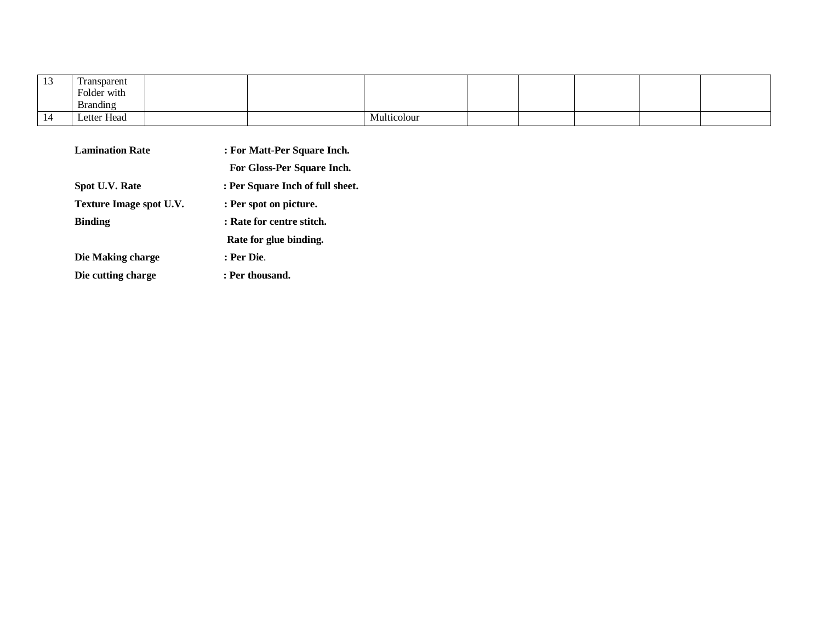| <b>IJ</b>    | Transparent     |  |             |  |  |  |
|--------------|-----------------|--|-------------|--|--|--|
|              | Folder with     |  |             |  |  |  |
|              | <b>Branding</b> |  |             |  |  |  |
| $\mathbf{I}$ | Letter Head     |  | Multicolour |  |  |  |

| <b>Lamination Rate</b>  | : For Matt-Per Square Inch.      |  |  |  |  |  |
|-------------------------|----------------------------------|--|--|--|--|--|
|                         | For Gloss-Per Square Inch.       |  |  |  |  |  |
| Spot U.V. Rate          | : Per Square Inch of full sheet. |  |  |  |  |  |
| Texture Image spot U.V. | : Per spot on picture.           |  |  |  |  |  |
| <b>Binding</b>          | : Rate for centre stitch.        |  |  |  |  |  |
|                         | Rate for glue binding.           |  |  |  |  |  |
| Die Making charge       | : Per Die.                       |  |  |  |  |  |
| Die cutting charge      | : Per thousand.                  |  |  |  |  |  |